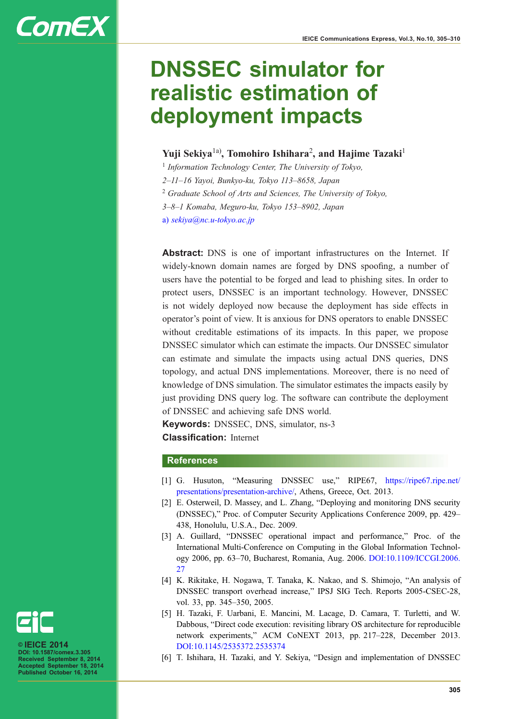# **ComEX**

## DNSSEC simulator for realistic estimation of deployment impacts

### Yuji Sekiya $^{1a)}$ , Tomohiro Ishihara $^2$ , and Hajime Tazaki $^1$

 $1$  Information Technology Center, The University of Tokyo,

2–11–16 Yayoi, Bunkyo-ku, Tokyo 113–8658, Japan

<sup>2</sup> Graduate School of Arts and Sciences, The University of Tokyo,

3–8–1 Komaba, Meguro-ku, Tokyo 153–8902, Japan

a) sekiya@nc.u-tokyo.ac.jp

Abstract: DNS is one of important infrastructures on the Internet. If widely-known domain names are forged by DNS spoofing, a number of users have the potential to be forged and lead to phishing sites. In order to protect users, DNSSEC is an important technology. However, DNSSEC is not widely deployed now because the deployment has side effects in operator's point of view. It is anxious for DNS operators to enable DNSSEC without creditable estimations of its impacts. In this paper, we propose DNSSEC simulator which can estimate the impacts. Our DNSSEC simulator can estimate and simulate the impacts using actual DNS queries, DNS topology, and actual DNS implementations. Moreover, there is no need of knowledge of DNS simulation. The simulator estimates the impacts easily by just providing DNS query log. The software can contribute the deployment of DNSSEC and achieving safe DNS world.

Keywords: DNSSEC, DNS, simulator, ns-3 Classification: Internet

#### References

- [1] G. Husuton, "Measuring DNSSEC use," RIPE67, [https://ripe67.ripe.net/](https://ripe67.ripe.net/presentations/presentation-archive/) [presentations/presentation-archive/](https://ripe67.ripe.net/presentations/presentation-archive/), Athens, Greece, Oct. 2013.
- [2] E. Osterweil, D. Massey, and L. Zhang, "Deploying and monitoring DNS security (DNSSEC)," Proc. of Computer Security Applications Conference 2009, pp. 429– 438, Honolulu, U.S.A., Dec. 2009.
- [3] A. Guillard, "DNSSEC operational impact and performance," Proc. of the International Multi-Conference on Computing in the Global Information Technology 2006, pp. 63–70, Bucharest, Romania, Aug. 2006. [DOI:10.1109/ICCGI.2006.](http://dx.doi.org/10.1109/ICCGI.2006.27)  $27$
- [4] K. Rikitake, H. Nogawa, T. Tanaka, K. Nakao, and S. Shimojo, "An analysis of DNSSEC transport overhead increase," IPSJ SIG Tech. Reports 2005-CSEC-28, vol. 33, pp. 345–350, 2005.
- [5] H. Tazaki, F. Uarbani, E. Mancini, M. Lacage, D. Camara, T. Turletti, and W. Dabbous, "Direct code execution: revisiting library OS architecture for reproducible network experiments," ACM CoNEXT 2013, pp. 217–228, December 2013. [DOI:10.1145/2535372.2535374](http://dx.doi.org/10.1145/2535372.2535374)
- [6] T. Ishihara, H. Tazaki, and Y. Sekiya, "Design and implementation of DNSSEC



© IEICE 2014 DOI: 10.1587/comex.3.305 Received September 8, 2014 Accepted September 18, 2014 Published October 16, 2014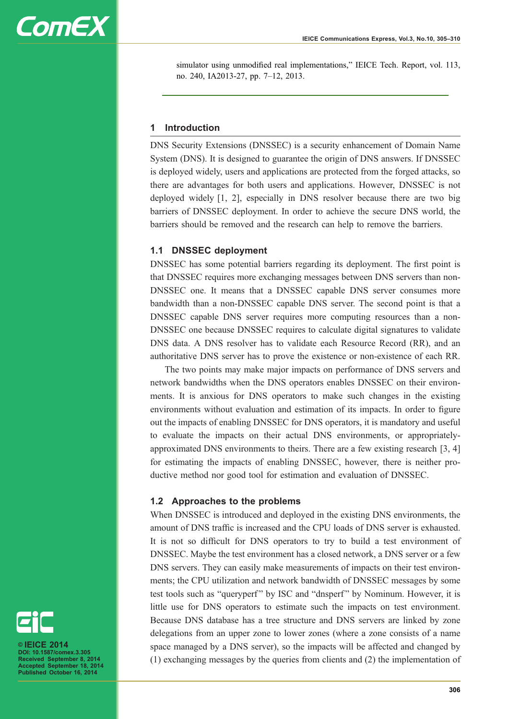

simulator using unmodified real implementations," IEICE Tech. Report, vol. 113, no. 240, IA2013-27, pp. 7–12, 2013.

#### 1 Introduction

DNS Security Extensions (DNSSEC) is a security enhancement of Domain Name System (DNS). It is designed to guarantee the origin of DNS answers. If DNSSEC is deployed widely, users and applications are protected from the forged attacks, so there are advantages for both users and applications. However, DNSSEC is not deployed widely [1, 2], especially in DNS resolver because there are two big barriers of DNSSEC deployment. In order to achieve the secure DNS world, the barriers should be removed and the research can help to remove the barriers.

#### 1.1 DNSSEC deployment

DNSSEC has some potential barriers regarding its deployment. The first point is that DNSSEC requires more exchanging messages between DNS servers than non-DNSSEC one. It means that a DNSSEC capable DNS server consumes more bandwidth than a non-DNSSEC capable DNS server. The second point is that a DNSSEC capable DNS server requires more computing resources than a non-DNSSEC one because DNSSEC requires to calculate digital signatures to validate DNS data. A DNS resolver has to validate each Resource Record (RR), and an authoritative DNS server has to prove the existence or non-existence of each RR.

The two points may make major impacts on performance of DNS servers and network bandwidths when the DNS operators enables DNSSEC on their environments. It is anxious for DNS operators to make such changes in the existing environments without evaluation and estimation of its impacts. In order to figure out the impacts of enabling DNSSEC for DNS operators, it is mandatory and useful to evaluate the impacts on their actual DNS environments, or appropriatelyapproximated DNS environments to theirs. There are a few existing research [3, 4] for estimating the impacts of enabling DNSSEC, however, there is neither productive method nor good tool for estimation and evaluation of DNSSEC.

#### 1.2 Approaches to the problems

When DNSSEC is introduced and deployed in the existing DNS environments, the amount of DNS traffic is increased and the CPU loads of DNS server is exhausted. It is not so difficult for DNS operators to try to build a test environment of DNSSEC. Maybe the test environment has a closed network, a DNS server or a few DNS servers. They can easily make measurements of impacts on their test environments; the CPU utilization and network bandwidth of DNSSEC messages by some test tools such as "queryperf" by ISC and "dnsperf" by Nominum. However, it is little use for DNS operators to estimate such the impacts on test environment. Because DNS database has a tree structure and DNS servers are linked by zone delegations from an upper zone to lower zones (where a zone consists of a name space managed by a DNS server), so the impacts will be affected and changed by (1) exchanging messages by the queries from clients and (2) the implementation of



© IEICE 2014 DOI: 10.1587/comex.3.305 Received September 8, 2014 Accepted September 18, 2014 Published October 16, 2014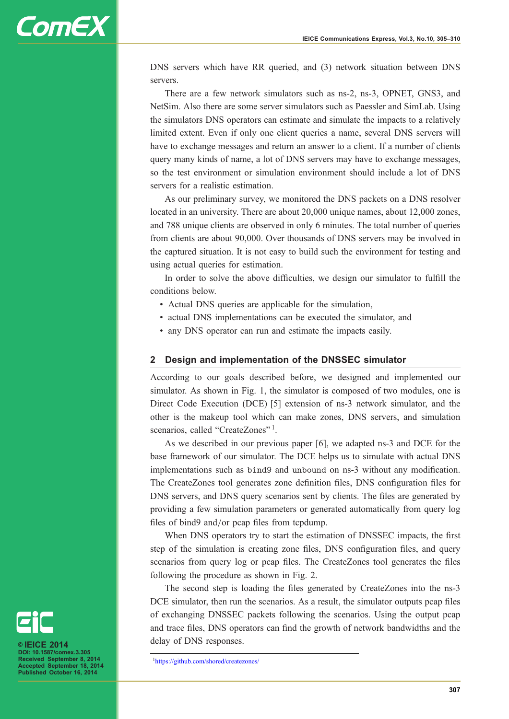

DNS servers which have RR queried, and (3) network situation between DNS servers.

There are a few network simulators such as ns-2, ns-3, OPNET, GNS3, and NetSim. Also there are some server simulators such as Paessler and SimLab. Using the simulators DNS operators can estimate and simulate the impacts to a relatively limited extent. Even if only one client queries a name, several DNS servers will have to exchange messages and return an answer to a client. If a number of clients query many kinds of name, a lot of DNS servers may have to exchange messages, so the test environment or simulation environment should include a lot of DNS servers for a realistic estimation.

As our preliminary survey, we monitored the DNS packets on a DNS resolver located in an university. There are about 20,000 unique names, about 12,000 zones, and 788 unique clients are observed in only 6 minutes. The total number of queries from clients are about 90,000. Over thousands of DNS servers may be involved in the captured situation. It is not easy to build such the environment for testing and using actual queries for estimation.

In order to solve the above difficulties, we design our simulator to fulfill the conditions below.

- Actual DNS queries are applicable for the simulation,
- actual DNS implementations can be executed the simulator, and
- any DNS operator can run and estimate the impacts easily.

#### 2 Design and implementation of the DNSSEC simulator

According to our goals described before, we designed and implemented our simulator. As shown in Fig. 1, the simulator is composed of two modules, one is Direct Code Execution (DCE) [5] extension of ns-3 network simulator, and the other is the makeup tool which can make zones, DNS servers, and simulation scenarios, called "CreateZones"<sup>1</sup>.

As we described in our previous paper [6], we adapted ns-3 and DCE for the base framework of our simulator. The DCE helps us to simulate with actual DNS implementations such as bind9 and unbound on ns-3 without any modification. The CreateZones tool generates zone definition files, DNS configuration files for DNS servers, and DNS query scenarios sent by clients. The files are generated by providing a few simulation parameters or generated automatically from query log files of bind9 and/or pcap files from tcpdump.

When DNS operators try to start the estimation of DNSSEC impacts, the first step of the simulation is creating zone files, DNS configuration files, and query scenarios from query log or pcap files. The CreateZones tool generates the files following the procedure as shown in Fig. 2.

The second step is loading the files generated by CreateZones into the ns-3 DCE simulator, then run the scenarios. As a result, the simulator outputs pcap files of exchanging DNSSEC packets following the scenarios. Using the output pcap and trace files, DNS operators can find the growth of network bandwidths and the delay of DNS responses.



2014 DOI: 10.1587/comex.3.305 eived September 8, 2014 Accepted September 18, 2014 Published October 16, 2014

<sup>1</sup> <https://github.com/shored/createzones/>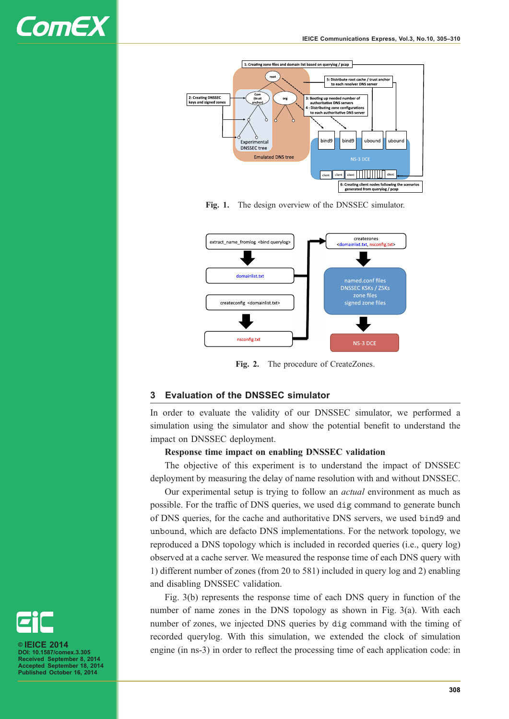



Fig. 1. The design overview of the DNSSEC simulator.



Fig. 2. The procedure of CreateZones.

#### 3 Evaluation of the DNSSEC simulator

In order to evaluate the validity of our DNSSEC simulator, we performed a simulation using the simulator and show the potential benefit to understand the impact on DNSSEC deployment.

#### Response time impact on enabling DNSSEC validation

The objective of this experiment is to understand the impact of DNSSEC deployment by measuring the delay of name resolution with and without DNSSEC.

Our experimental setup is trying to follow an actual environment as much as possible. For the traffic of DNS queries, we used dig command to generate bunch of DNS queries, for the cache and authoritative DNS servers, we used bind9 and unbound, which are defacto DNS implementations. For the network topology, we reproduced a DNS topology which is included in recorded queries (i.e., query log) observed at a cache server. We measured the response time of each DNS query with 1) different number of zones (from 20 to 581) included in query log and 2) enabling and disabling DNSSEC validation.

Fig. 3(b) represents the response time of each DNS query in function of the number of name zones in the DNS topology as shown in Fig. 3(a). With each number of zones, we injected DNS queries by dig command with the timing of recorded querylog. With this simulation, we extended the clock of simulation engine (in ns-3) in order to reflect the processing time of each application code: in



 $2014$ DOI: 10.1587/comex.3.305 Received September 8, 2014 Accepted September 18, 2014 Published October 16, 2014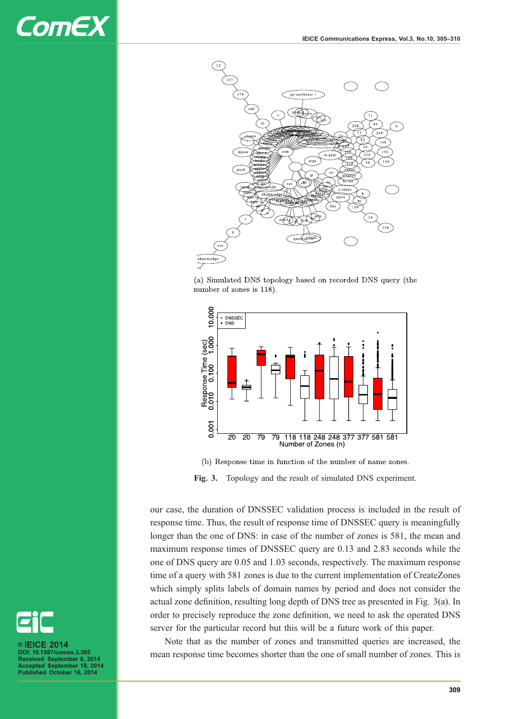

(a) Simulated DNS topology based on recorded DNS query (the number of zones is 118).



(b) Response time in function of the number of name zones.

Fig. 3. Topology and the result of simulated DNS experiment.

our case, the duration of DNSSEC validation process is included in the result of response time. Thus, the result of response time of DNSSEC query is meaningfully longer than the one of DNS: in case of the number of zones is 581, the mean and maximum response times of DNSSEC query are 0.13 and 2.83 seconds while the one of DNS query are 0.05 and 1.03 seconds, respectively. The maximum response time of a query with 581 zones is due to the current implementation of CreateZones which simply splits labels of domain names by period and does not consider the actual zone definition, resulting long depth of DNS tree as presented in Fig. 3(a). In order to precisely reproduce the zone definition, we need to ask the operated DNS server for the particular record but this will be a future work of this paper.

Note that as the number of zones and transmitted queries are increased, the mean response time becomes shorter than the one of small number of zones. This is



© IEICE 2014 DOI: 10.1587/comex.3.305 Received September 8, 2014 Accepted September 18, 2014 Published October 16, 2014